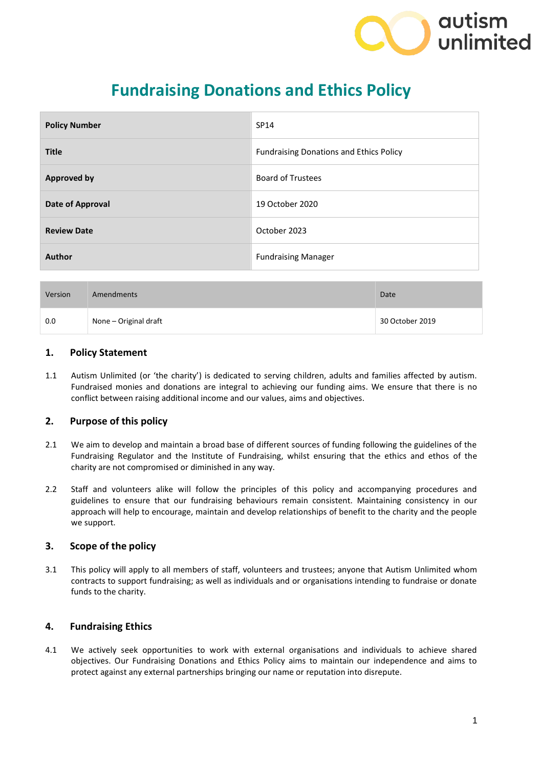

# **Fundraising Donations and Ethics Policy**

| <b>Policy Number</b> | SP14                                           |
|----------------------|------------------------------------------------|
| <b>Title</b>         | <b>Fundraising Donations and Ethics Policy</b> |
| <b>Approved by</b>   | <b>Board of Trustees</b>                       |
| Date of Approval     | 19 October 2020                                |
| <b>Review Date</b>   | October 2023                                   |
| Author               | <b>Fundraising Manager</b>                     |

| Version | Amendments            | <b>Date</b>     |
|---------|-----------------------|-----------------|
| 0.0     | None – Original draft | 30 October 2019 |

#### **1. Policy Statement**

1.1 Autism Unlimited (or 'the charity') is dedicated to serving children, adults and families affected by autism. Fundraised monies and donations are integral to achieving our funding aims. We ensure that there is no conflict between raising additional income and our values, aims and objectives.

## **2. Purpose of this policy**

- 2.1 We aim to develop and maintain a broad base of different sources of funding following the guidelines of the Fundraising Regulator and the Institute of Fundraising, whilst ensuring that the ethics and ethos of the charity are not compromised or diminished in any way.
- 2.2 Staff and volunteers alike will follow the principles of this policy and accompanying procedures and guidelines to ensure that our fundraising behaviours remain consistent. Maintaining consistency in our approach will help to encourage, maintain and develop relationships of benefit to the charity and the people we support.

## **3. Scope of the policy**

3.1 This policy will apply to all members of staff, volunteers and trustees; anyone that Autism Unlimited whom contracts to support fundraising; as well as individuals and or organisations intending to fundraise or donate funds to the charity.

## **4. Fundraising Ethics**

4.1 We actively seek opportunities to work with external organisations and individuals to achieve shared objectives. Our Fundraising Donations and Ethics Policy aims to maintain our independence and aims to protect against any external partnerships bringing our name or reputation into disrepute.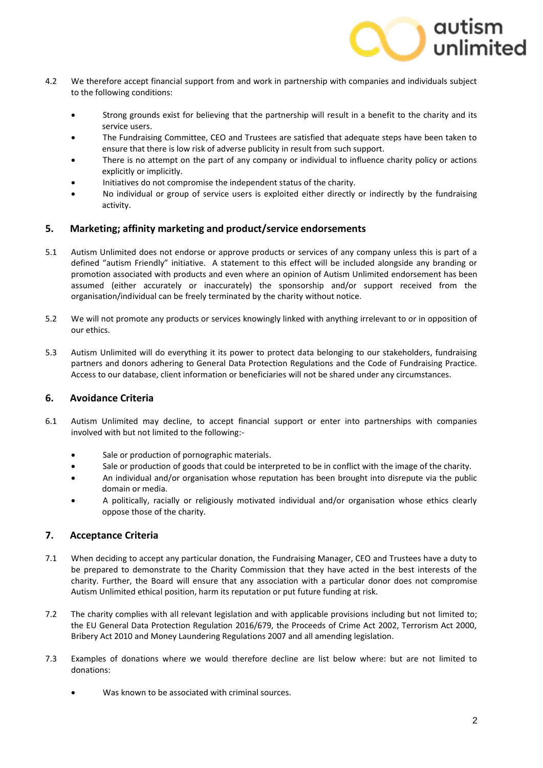

- 4.2 We therefore accept financial support from and work in partnership with companies and individuals subject to the following conditions:
	- Strong grounds exist for believing that the partnership will result in a benefit to the charity and its service users.
	- The Fundraising Committee, CEO and Trustees are satisfied that adequate steps have been taken to ensure that there is low risk of adverse publicity in result from such support.
	- There is no attempt on the part of any company or individual to influence charity policy or actions explicitly or implicitly.
	- Initiatives do not compromise the independent status of the charity.
	- No individual or group of service users is exploited either directly or indirectly by the fundraising activity.

#### **5. Marketing; affinity marketing and product/service endorsements**

- 5.1 Autism Unlimited does not endorse or approve products or services of any company unless this is part of a defined "autism Friendly" initiative. A statement to this effect will be included alongside any branding or promotion associated with products and even where an opinion of Autism Unlimited endorsement has been assumed (either accurately or inaccurately) the sponsorship and/or support received from the organisation/individual can be freely terminated by the charity without notice.
- 5.2 We will not promote any products or services knowingly linked with anything irrelevant to or in opposition of our ethics.
- 5.3 Autism Unlimited will do everything it its power to protect data belonging to our stakeholders, fundraising partners and donors adhering to General Data Protection Regulations and the Code of Fundraising Practice. Access to our database, client information or beneficiaries will not be shared under any circumstances.

#### **6. Avoidance Criteria**

- 6.1 Autism Unlimited may decline, to accept financial support or enter into partnerships with companies involved with but not limited to the following:-
	- Sale or production of pornographic materials.
	- Sale or production of goods that could be interpreted to be in conflict with the image of the charity.
	- An individual and/or organisation whose reputation has been brought into disrepute via the public domain or media.
	- A politically, racially or religiously motivated individual and/or organisation whose ethics clearly oppose those of the charity.

## **7. Acceptance Criteria**

- 7.1 When deciding to accept any particular donation, the Fundraising Manager, CEO and Trustees have a duty to be prepared to demonstrate to the Charity Commission that they have acted in the best interests of the charity. Further, the Board will ensure that any association with a particular donor does not compromise Autism Unlimited ethical position, harm its reputation or put future funding at risk.
- 7.2 The charity complies with all relevant legislation and with applicable provisions including but not limited to; the EU General Data Protection Regulation 2016/679, the Proceeds of Crime Act 2002, Terrorism Act 2000, Bribery Act 2010 and Money Laundering Regulations 2007 and all amending legislation.
- 7.3 Examples of donations where we would therefore decline are list below where: but are not limited to donations:
	- Was known to be associated with criminal sources.